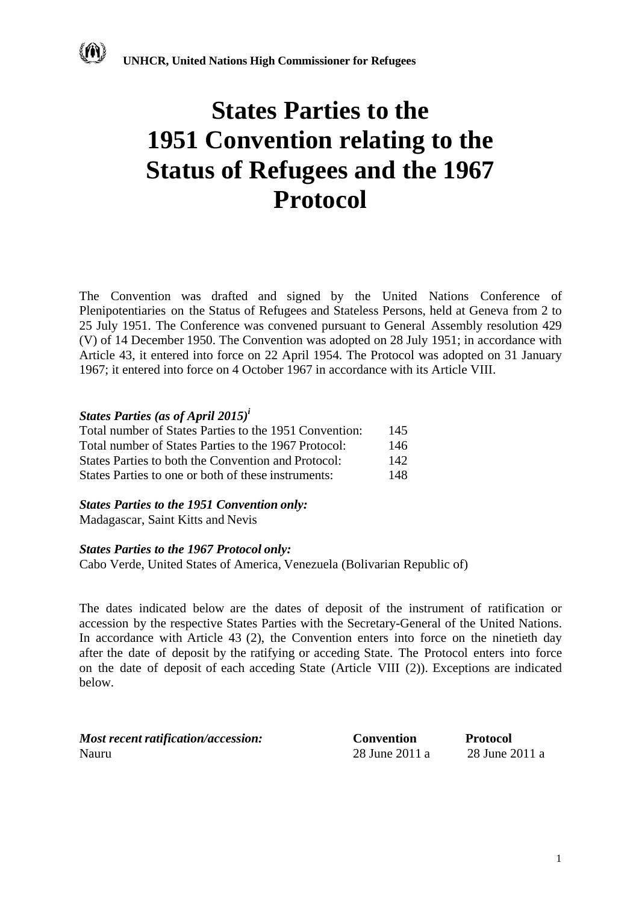

The Convention was drafted and signed by the United Nations Conference of Plenipotentiaries on the Status of Refugees and Stateless Persons, held at Geneva from 2 to 25 July 1951. The Conference was convened pursuant to General Assembly resolution 429 (V) of 14 December 1950. The Convention was adopted on 28 July 1951; in accordance with Article 43, it entered into force on 22 April 1954. The Protocol was adopted on 31 January 1967; it entered into force on 4 October 1967 in accordance with its Article VIII.

### *States Parties (as of April 2015)<sup>i</sup>*

| Total number of States Parties to the 1951 Convention: | 145  |
|--------------------------------------------------------|------|
| Total number of States Parties to the 1967 Protocol:   | 146  |
| States Parties to both the Convention and Protocol:    | 142. |
| States Parties to one or both of these instruments:    | 148. |

## *States Parties to the 1951 Convention only:*

Madagascar, Saint Kitts and Nevis

#### *States Parties to the 1967 Protocol only:*

Cabo Verde, United States of America, Venezuela (Bolivarian Republic of)

The dates indicated below are the dates of deposit of the instrument of ratification or accession by the respective States Parties with the Secretary-General of the United Nations. In accordance with Article 43 (2), the Convention enters into force on the ninetieth day after the date of deposit by the ratifying or acceding State. The Protocol enters into force on the date of deposit of each acceding State (Article VIII (2)). Exceptions are indicated below.

| Most recent ratification/accession: | <b>Convention</b> | <b>Protocol</b> |
|-------------------------------------|-------------------|-----------------|
| Nauru                               | 28 June 2011 a    | 28 June 2011 a  |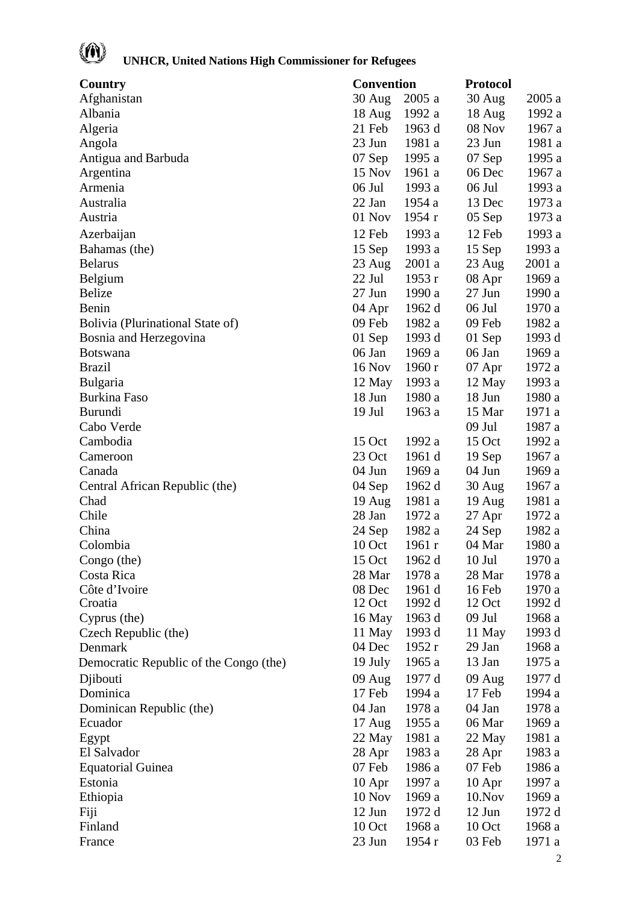# (A)

| Country                                | Convention       |        | <b>Protocol</b>  |        |
|----------------------------------------|------------------|--------|------------------|--------|
| Afghanistan                            | 30 Aug           | 2005 a | 30 Aug           | 2005a  |
| Albania                                | 18 Aug           | 1992 a | 18 Aug           | 1992 a |
| Algeria                                | 21 Feb           | 1963 d | 08 Nov           | 1967 a |
| Angola                                 | 23 Jun           | 1981 a | 23 Jun           | 1981 a |
| Antigua and Barbuda                    | $07$ Sep         | 1995 a | $07$ Sep         | 1995 a |
| Argentina                              | 15 Nov           | 1961 a | 06 Dec           | 1967 a |
| Armenia                                | 06 Jul           | 1993 a | 06 Jul           | 1993 a |
| Australia                              | 22 Jan           | 1954 a | 13 Dec           | 1973 a |
| Austria                                | 01 Nov           | 1954 r | $05$ Sep         | 1973 a |
| Azerbaijan                             | 12 Feb           | 1993 a | 12 Feb           | 1993 a |
| Bahamas (the)                          | 15 Sep           | 1993 a | 15 Sep           | 1993 a |
| <b>Belarus</b>                         | 23 Aug           | 2001a  | 23 Aug           | 2001 a |
| Belgium                                | 22 Jul           | 1953 r | 08 Apr           | 1969 a |
| <b>Belize</b>                          | $27$ Jun         | 1990 a | 27 Jun           | 1990 a |
| Benin                                  | 04 Apr           | 1962 d | 06 Jul           | 1970 a |
| Bolivia (Plurinational State of)       | 09 Feb           | 1982 a | 09 Feb           | 1982 a |
| Bosnia and Herzegovina                 | 01 Sep           | 1993 d | $01$ Sep         | 1993 d |
| <b>Botswana</b>                        | 06 Jan           | 1969 a | 06 Jan           | 1969 a |
| <b>Brazil</b>                          | 16 Nov           | 1960r  | 07 Apr           | 1972 a |
| Bulgaria                               | 12 May           | 1993 a | 12 May           | 1993 a |
| <b>Burkina Faso</b>                    | 18 Jun           | 1980 a | 18 Jun           | 1980 a |
| <b>Burundi</b>                         | $19$ Jul         | 1963 a | 15 Mar           | 1971 a |
| Cabo Verde                             |                  |        | $09$ Jul         | 1987 a |
| Cambodia                               | 15 Oct           | 1992 a | 15 Oct           | 1992 a |
| Cameroon                               | 23 Oct           | 1961 d | 19 Sep           | 1967 a |
| Canada                                 | 04 Jun           | 1969 a | 04 Jun           | 1969 a |
| Central African Republic (the)         | 04 Sep           | 1962 d | $30$ Aug         | 1967 a |
| Chad                                   | $19 \text{ Aug}$ | 1981 a | $19 \text{ Aug}$ | 1981 a |
| Chile                                  | 28 Jan           | 1972 a | 27 Apr           | 1972 a |
| China                                  | 24 Sep           | 1982 a | 24 Sep           | 1982 a |
| Colombia                               | 10 Oct           | 1961r  | 04 Mar           | 1980 a |
| Congo (the)                            | 15 Oct           | 1962 d | $10$ Jul         | 1970 a |
| Costa Rica                             | 28 Mar           | 1978 a | 28 Mar           | 1978 a |
| Côte d'Ivoire                          | 08 Dec           | 1961 d | 16 Feb           | 1970 a |
| Croatia                                | 12 Oct           | 1992 d | 12 Oct           | 1992 d |
| Cyprus (the)                           | 16 May           | 1963 d | $09$ Jul         | 1968 a |
| Czech Republic (the)                   | 11 May           | 1993 d | 11 May           | 1993 d |
| Denmark                                | 04 Dec           | 1952 r | 29 Jan           | 1968 a |
| Democratic Republic of the Congo (the) | 19 July          | 1965 a | 13 Jan           | 1975 a |
| Djibouti                               | 09 Aug           | 1977 d | 09 Aug           | 1977 d |
| Dominica                               | 17 Feb           | 1994 a | 17 Feb           | 1994 a |
| Dominican Republic (the)               | 04 Jan           | 1978 a | 04 Jan           | 1978 a |
| Ecuador                                | $17 \text{ Aug}$ | 1955 a | 06 Mar           | 1969 a |
| Egypt                                  | 22 May           | 1981 a | 22 May           | 1981 a |
| El Salvador                            | 28 Apr           | 1983 a | 28 Apr           | 1983 a |
| <b>Equatorial Guinea</b>               | 07 Feb           | 1986 a | 07 Feb           | 1986 a |
| Estonia                                | $10$ Apr         | 1997 a | $10$ Apr         | 1997 a |
| Ethiopia                               | 10 Nov           | 1969 a | $10.$ Nov        | 1969 a |
| Fiji                                   | 12 Jun           | 1972 d | $12$ Jun         | 1972 d |
| Finland                                | 10 Oct           | 1968 a | 10 Oct           | 1968 a |
| France                                 | 23 Jun           | 1954 r | 03 Feb           | 1971 a |
|                                        |                  |        |                  |        |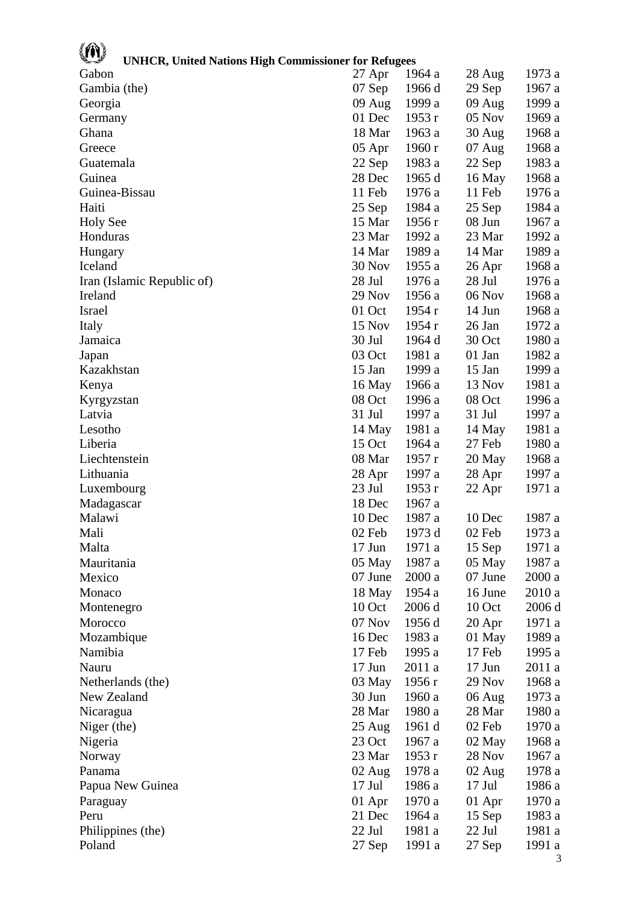| <b>UNHCR, United Nations High Commissioner for Refugees</b> |                    |                  |                            |        |
|-------------------------------------------------------------|--------------------|------------------|----------------------------|--------|
| Gabon                                                       | 27 Apr             | 1964 a           | 28 Aug                     | 1973 a |
| Gambia (the)                                                | 07 Sep             | 1966 d           | 29 Sep                     | 1967 a |
| Georgia                                                     | $09$ Aug           | 1999 a           | 09 Aug                     | 1999 a |
| Germany                                                     | 01 Dec             | 1953r            | $05$ Nov                   | 1969 a |
| Ghana                                                       | 18 Mar             | 1963 a           | 30 Aug                     | 1968 a |
| Greece                                                      | 05 Apr             | 1960 r           | 07 Aug                     | 1968 a |
| Guatemala                                                   | 22 Sep             | 1983 a           | 22 Sep                     | 1983 a |
| Guinea                                                      | 28 Dec             | 1965 d           | 16 May                     | 1968 a |
| Guinea-Bissau                                               | 11 Feb             | 1976 a           | 11 Feb                     | 1976 a |
| Haiti                                                       | 25 Sep             | 1984 a           | 25 Sep                     | 1984 a |
| <b>Holy See</b>                                             | 15 Mar             | 1956 r           | 08 Jun                     | 1967 a |
| Honduras                                                    | 23 Mar             | 1992 a           | 23 Mar                     | 1992 a |
| Hungary                                                     | 14 Mar             | 1989 a           | 14 Mar                     | 1989 a |
| Iceland                                                     | 30 Nov             | 1955 a           | 26 Apr                     | 1968 a |
| Iran (Islamic Republic of)                                  | 28 Jul             | 1976 a           | 28 Jul                     | 1976 a |
| Ireland                                                     | 29 Nov             | 1956 a           | 06 Nov                     | 1968 a |
| <b>Israel</b>                                               | 01 Oct             | 1954r            | 14 Jun                     | 1968 a |
| Italy                                                       | 15 Nov             | 1954 r           | 26 Jan                     | 1972 a |
| Jamaica                                                     | 30 Jul             | 1964 d           | 30 Oct                     | 1980 a |
| Japan                                                       | 03 Oct             | 1981 a           | 01 Jan                     | 1982 a |
| Kazakhstan                                                  | $15$ Jan           | 1999 a           | 15 Jan                     | 1999 a |
| Kenya                                                       | 16 May             | 1966 a           | 13 Nov                     | 1981 a |
| Kyrgyzstan                                                  | 08 Oct             | 1996 a           | 08 Oct                     | 1996 a |
| Latvia                                                      | 31 Jul             | 1997 a           | 31 Jul                     | 1997 a |
| Lesotho                                                     | 14 May             | 1981 a           | 14 May                     | 1981 a |
| Liberia                                                     | 15 Oct             | 1964 a           | 27 Feb                     | 1980 a |
| Liechtenstein                                               | 08 Mar             | 1957r            | 20 May                     | 1968 a |
| Lithuania                                                   | 28 Apr             | 1997 a           | 28 Apr                     | 1997 a |
| Luxembourg                                                  | 23 Jul             | 1953 r           | 22 Apr                     | 1971 a |
| Madagascar                                                  | 18 Dec             | 1967 a           |                            |        |
| Malawi                                                      | 10 Dec             | 1987 a           | 10 Dec                     | 1987 a |
| Mali                                                        | 02 Feb             | 1973 d           | 02 Feb                     | 1973 a |
| Malta                                                       | $17$ Jun           | 1971 a           | 15 Sep                     | 1971 a |
| Mauritania                                                  | 05 May             | 1987 a           | 05 May                     | 1987 a |
| Mexico                                                      | 07 June            | 2000a            | 07 June                    | 2000 a |
| Monaco                                                      | 18 May             | 1954 a           | 16 June                    | 2010 a |
| Montenegro                                                  | 10 Oct             | 2006 d           | 10 Oct                     | 2006 d |
| Morocco                                                     | 07 Nov             | 1956 d           | 20 Apr                     | 1971 a |
| Mozambique                                                  | 16 Dec             | 1983 a           | 01 May                     | 1989 a |
| Namibia                                                     | 17 Feb             | 1995 a           | 17 Feb                     | 1995 a |
| Nauru                                                       | $17$ Jun           | 2011 a           | $17$ Jun                   | 2011a  |
| Netherlands (the)                                           | 03 May             | 1956 r           | 29 Nov                     | 1968 a |
| New Zealand                                                 | 30 Jun             | 1960 a           | 06 Aug                     | 1973 a |
| Nicaragua                                                   | 28 Mar             | 1980 a           | 28 Mar                     | 1980 a |
| Niger (the)                                                 | 25 Aug             | 1961 d           | 02 Feb                     | 1970 a |
| Nigeria                                                     | 23 Oct             | 1967 a           | 02 May                     | 1968 a |
| Norway                                                      | 23 Mar             | 1953 r           | 28 Nov                     | 1967 a |
| Panama                                                      |                    |                  |                            |        |
|                                                             | 02 Aug<br>$17$ Jul | 1978 a<br>1986 a | $02 \text{ Aug}$<br>17 Jul | 1978 a |
| Papua New Guinea                                            |                    |                  |                            | 1986 a |
| Paraguay                                                    | 01 Apr             | 1970 a           | 01 Apr                     | 1970 a |
| Peru                                                        | 21 Dec             | 1964 a           | 15 Sep                     | 1983 a |
| Philippines (the)                                           | 22 Jul             | 1981 a           | 22 Jul                     | 1981 a |
| Poland                                                      | 27 Sep             | 1991 a           | 27 Sep                     | 1991 a |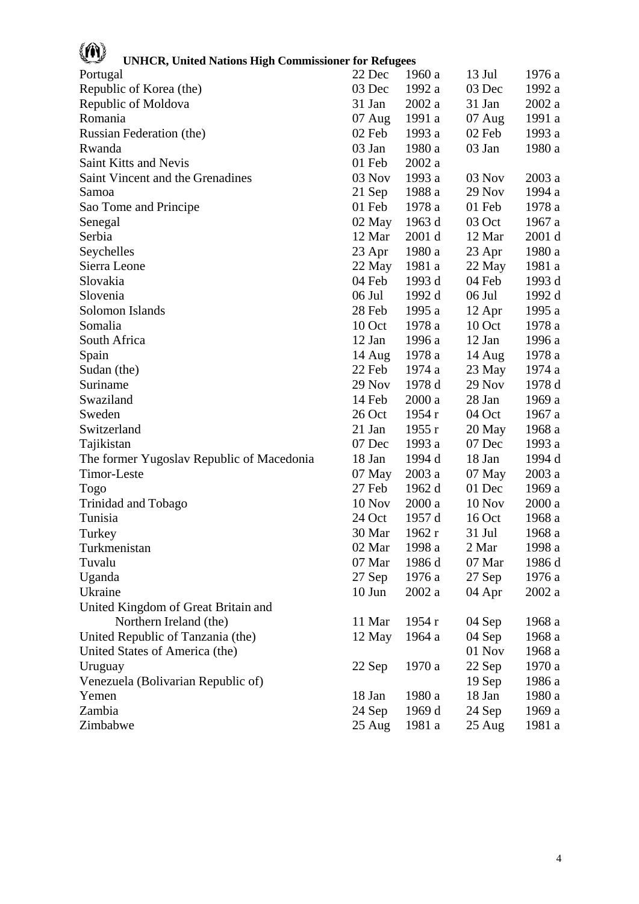| <b>UNHCR, United Nations High Commissioner for Refugees</b> |                  |        |          |        |
|-------------------------------------------------------------|------------------|--------|----------|--------|
| Portugal                                                    | 22 Dec           | 1960 a | 13 Jul   | 1976 a |
| Republic of Korea (the)                                     | 03 Dec           | 1992 a | 03 Dec   | 1992 a |
| Republic of Moldova                                         | 31 Jan           | 2002 a | 31 Jan   | 2002a  |
| Romania                                                     | $07 \text{ Aug}$ | 1991 a | $07$ Aug | 1991 a |
| Russian Federation (the)                                    | 02 Feb           | 1993 a | 02 Feb   | 1993 a |
| Rwanda                                                      | 03 Jan           | 1980 a | 03 Jan   | 1980 a |
| Saint Kitts and Nevis                                       | 01 Feb           | 2002a  |          |        |
| Saint Vincent and the Grenadines                            | 03 Nov           | 1993 a | 03 Nov   | 2003 a |
| Samoa                                                       | 21 Sep           | 1988 a | 29 Nov   | 1994 a |
| Sao Tome and Principe                                       | 01 Feb           | 1978 a | 01 Feb   | 1978 a |
| Senegal                                                     | 02 May           | 1963 d | 03 Oct   | 1967 a |
| Serbia                                                      | 12 Mar           | 2001 d | 12 Mar   | 2001 d |
| Seychelles                                                  | 23 Apr           | 1980 a | 23 Apr   | 1980 a |
| Sierra Leone                                                | 22 May           | 1981 a | 22 May   | 1981 a |
| Slovakia                                                    | 04 Feb           | 1993 d | 04 Feb   | 1993 d |
| Slovenia                                                    | 06 Jul           | 1992 d | 06 Jul   | 1992 d |
| Solomon Islands                                             | 28 Feb           | 1995 a | 12 Apr   | 1995 a |
| Somalia                                                     | 10 Oct           | 1978 a | 10 Oct   | 1978 a |
| South Africa                                                | $12$ Jan         | 1996 a | 12 Jan   | 1996 a |
| Spain                                                       | 14 Aug           | 1978 a | 14 Aug   | 1978 a |
| Sudan (the)                                                 | 22 Feb           | 1974 a | 23 May   | 1974 a |
| Suriname                                                    | $29$ Nov         | 1978 d | 29 Nov   | 1978 d |
| Swaziland                                                   | 14 Feb           | 2000a  | 28 Jan   | 1969 a |
| Sweden                                                      | 26 Oct           | 1954r  | 04 Oct   | 1967 a |
| Switzerland                                                 | 21 Jan           | 1955r  | 20 May   | 1968 a |
| Tajikistan                                                  | 07 Dec           | 1993 a | 07 Dec   | 1993 a |
| The former Yugoslav Republic of Macedonia                   | 18 Jan           | 1994 d | 18 Jan   | 1994 d |
| Timor-Leste                                                 | 07 May           | 2003a  | 07 May   | 2003a  |
| <b>Togo</b>                                                 | 27 Feb           | 1962 d | 01 Dec   | 1969 a |
| Trinidad and Tobago                                         | 10 Nov           | 2000a  | 10 Nov   | 2000a  |
| Tunisia                                                     | 24 Oct           | 1957 d | 16 Oct   | 1968 a |
| Turkey                                                      | 30 Mar           | 1962r  | 31 Jul   | 1968 a |
| Turkmenistan                                                | 02 Mar           | 1998 a | 2 Mar    | 1998 a |
| Tuvalu                                                      | 07 Mar           | 1986 d | 07 Mar   | 1986 d |
| Uganda                                                      | 27 Sep           | 1976 a | 27 Sep   | 1976 a |
| Ukraine                                                     | $10$ Jun         | 2002a  | 04 Apr   | 2002a  |
| United Kingdom of Great Britain and                         |                  |        |          |        |
| Northern Ireland (the)                                      | 11 Mar           | 1954 r | 04 Sep   | 1968 a |
| United Republic of Tanzania (the)                           | 12 May           | 1964 a | 04 Sep   | 1968 a |
| United States of America (the)                              |                  |        | 01 Nov   | 1968 a |
| Uruguay                                                     | 22 Sep           | 1970 a | 22 Sep   | 1970 a |
| Venezuela (Bolivarian Republic of)                          |                  |        | 19 Sep   | 1986 a |
| Yemen                                                       | 18 Jan           | 1980 a | 18 Jan   | 1980 a |
| Zambia                                                      | 24 Sep           | 1969 d | 24 Sep   | 1969 a |
| Zimbabwe                                                    | $25 \text{ Aug}$ | 1981 a | 25 Aug   | 1981 a |